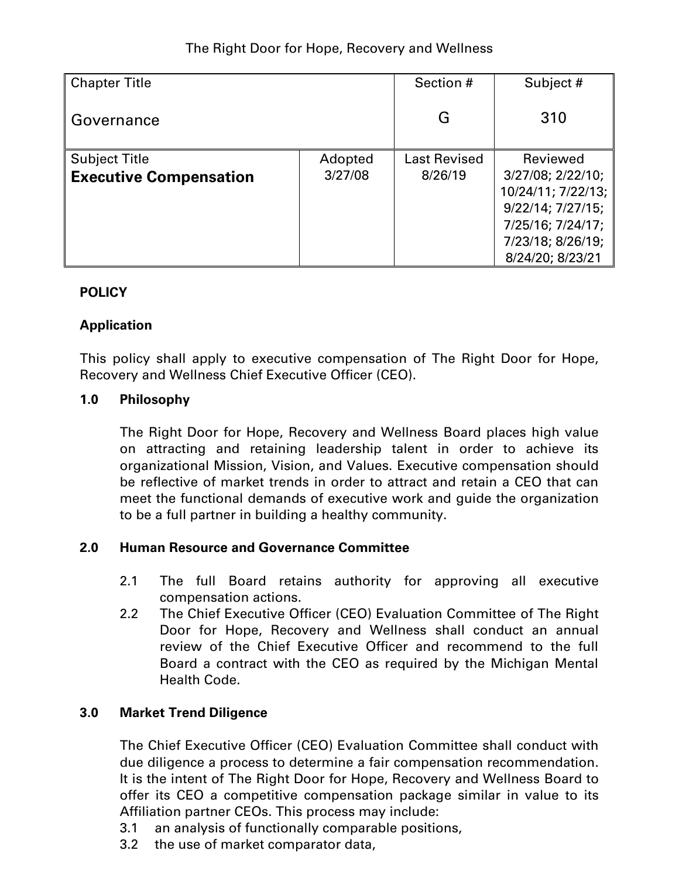| <b>Chapter Title</b>          |         | Section #           | Subject #               |  |
|-------------------------------|---------|---------------------|-------------------------|--|
| Governance                    |         | G                   | 310                     |  |
| <b>Subject Title</b>          | Adopted | <b>Last Revised</b> | Reviewed                |  |
| <b>Executive Compensation</b> | 3/27/08 | 8/26/19             | 3/27/08; 2/22/10;       |  |
|                               |         |                     | 10/24/11; 7/22/13;      |  |
|                               |         |                     | $9/22/14$ ; $7/27/15$ ; |  |
|                               |         |                     | 7/25/16; 7/24/17;       |  |
|                               |         |                     | 7/23/18; 8/26/19;       |  |
|                               |         |                     | 8/24/20; 8/23/21        |  |

# **POLICY**

# **Application**

This policy shall apply to executive compensation of The Right Door for Hope, Recovery and Wellness Chief Executive Officer (CEO).

#### **1.0 Philosophy**

The Right Door for Hope, Recovery and Wellness Board places high value on attracting and retaining leadership talent in order to achieve its organizational Mission, Vision, and Values. Executive compensation should be reflective of market trends in order to attract and retain a CEO that can meet the functional demands of executive work and guide the organization to be a full partner in building a healthy community.

#### **2.0 Human Resource and Governance Committee**

- 2.1 The full Board retains authority for approving all executive compensation actions.
- 2.2 The Chief Executive Officer (CEO) Evaluation Committee of The Right Door for Hope, Recovery and Wellness shall conduct an annual review of the Chief Executive Officer and recommend to the full Board a contract with the CEO as required by the Michigan Mental Health Code.

# **3.0 Market Trend Diligence**

The Chief Executive Officer (CEO) Evaluation Committee shall conduct with due diligence a process to determine a fair compensation recommendation. It is the intent of The Right Door for Hope, Recovery and Wellness Board to offer its CEO a competitive compensation package similar in value to its Affiliation partner CEOs. This process may include:

- 3.1 an analysis of functionally comparable positions,
- 3.2 the use of market comparator data,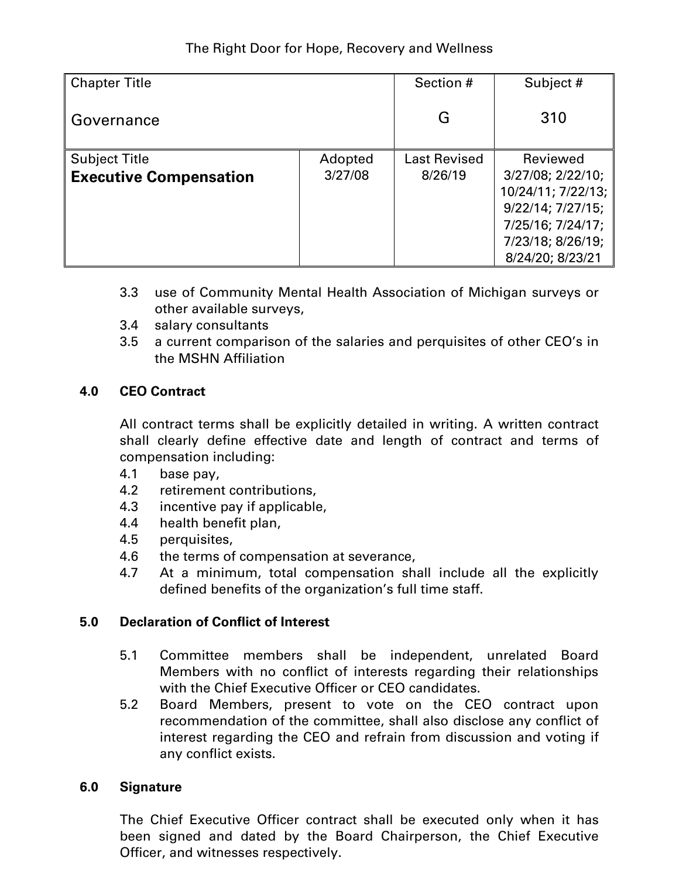# The Right Door for Hope, Recovery and Wellness

| <b>Chapter Title</b><br>Governance |         | Section #           | Subject #<br>310        |  |
|------------------------------------|---------|---------------------|-------------------------|--|
|                                    |         | G                   |                         |  |
| <b>Subject Title</b>               | Adopted | <b>Last Revised</b> | Reviewed                |  |
| <b>Executive Compensation</b>      | 3/27/08 | 8/26/19             | 3/27/08; 2/22/10;       |  |
|                                    |         |                     | 10/24/11; 7/22/13;      |  |
|                                    |         |                     | $9/22/14$ ; $7/27/15$ ; |  |
|                                    |         |                     | 7/25/16; 7/24/17;       |  |
|                                    |         |                     | 7/23/18; 8/26/19;       |  |
|                                    |         |                     | 8/24/20; 8/23/21        |  |

- 3.3 use of Community Mental Health Association of Michigan surveys or other available surveys,
- 3.4 salary consultants
- 3.5 a current comparison of the salaries and perquisites of other CEO's in the MSHN Affiliation

#### **4.0 CEO Contract**

All contract terms shall be explicitly detailed in writing. A written contract shall clearly define effective date and length of contract and terms of compensation including:

- 4.1 base pay,
- 4.2 retirement contributions,
- 4.3 incentive pay if applicable,
- 4.4 health benefit plan,
- 4.5 perquisites,
- 4.6 the terms of compensation at severance,
- 4.7 At a minimum, total compensation shall include all the explicitly defined benefits of the organization's full time staff.

#### **5.0 Declaration of Conflict of Interest**

- 5.1 Committee members shall be independent, unrelated Board Members with no conflict of interests regarding their relationships with the Chief Executive Officer or CEO candidates.
- 5.2 Board Members, present to vote on the CEO contract upon recommendation of the committee, shall also disclose any conflict of interest regarding the CEO and refrain from discussion and voting if any conflict exists.

#### **6.0 Signature**

The Chief Executive Officer contract shall be executed only when it has been signed and dated by the Board Chairperson, the Chief Executive Officer, and witnesses respectively.